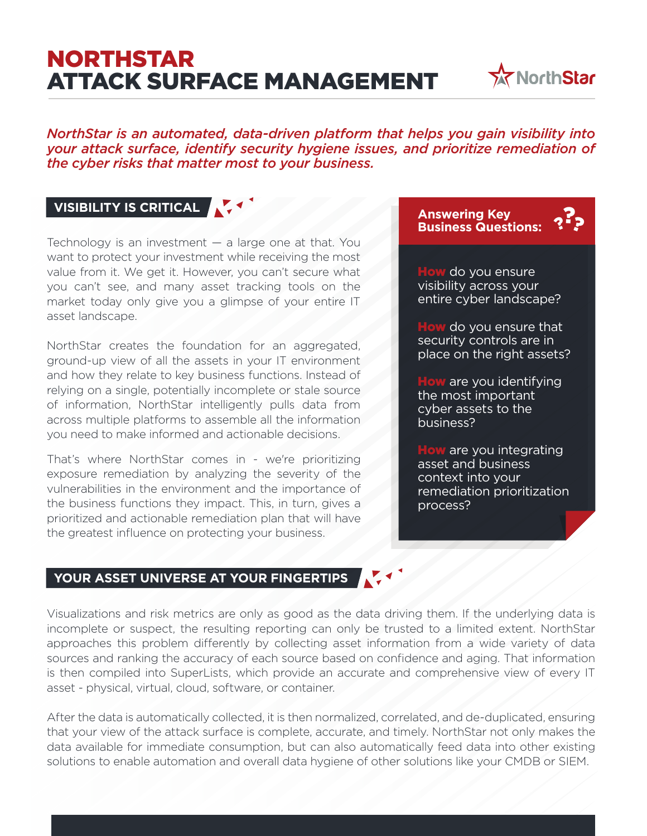# NORTHSTAR ATTACK SURFACE MANAGEMENT



*NorthStar is an automated, data-driven platform that helps you gain visibility into your attack surface, identify security hygiene issues, and prioritize remediation of the cyber risks that matter most to your business.*

# **VISIBILITY IS CRITICAL**

Technology is an investment — a large one at that. You want to protect your investment while receiving the most value from it. We get it. However, you can't secure what you can't see, and many asset tracking tools on the market today only give you a glimpse of your entire IT asset landscape.

NorthStar creates the foundation for an aggregated, ground-up view of all the assets in your IT environment and how they relate to key business functions. Instead of relying on a single, potentially incomplete or stale source of information, NorthStar intelligently pulls data from across multiple platforms to assemble all the information you need to make informed and actionable decisions.

That's where NorthStar comes in - we're prioritizing exposure remediation by analyzing the severity of the vulnerabilities in the environment and the importance of the business functions they impact. This, in turn, gives a prioritized and actionable remediation plan that will have the greatest influence on protecting your business.

**Answering Key Business Questions:** 

How do you ensure visibility across your entire cyber landscape?

How do you ensure that security controls are in place on the right assets?

How are you identifying the most important cyber assets to the business?

How are you integrating asset and business context into your remediation prioritization process?

#### **YOUR ASSET UNIVERSE AT YOUR FINGERTIPS**

Visualizations and risk metrics are only as good as the data driving them. If the underlying data is incomplete or suspect, the resulting reporting can only be trusted to a limited extent. NorthStar approaches this problem differently by collecting asset information from a wide variety of data sources and ranking the accuracy of each source based on confidence and aging. That information is then compiled into SuperLists, which provide an accurate and comprehensive view of every IT asset - physical, virtual, cloud, software, or container.

After the data is automatically collected, it is then normalized, correlated, and de-duplicated, ensuring that your view of the attack surface is complete, accurate, and timely. NorthStar not only makes the data available for immediate consumption, but can also automatically feed data into other existing solutions to enable automation and overall data hygiene of other solutions like your CMDB or SIEM.